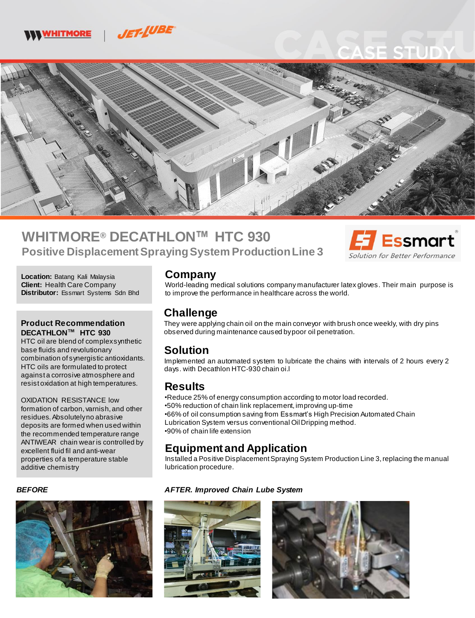



# **WHITMORE® DECATHLON HTC 930 Positive Displacement Spraying System Production Line 3**



**Location:** Batang Kali Malaysia **Client:** Health Care Company **Distributor:** Essmart Systems Sdn Bhd

#### **Product Recommendation DECATHLON HTC 930**

HTC oil are blend of complex synthetic base fluids and revolutionary combination of synergistic antioxidants. HTC oils are formulated to protect against a corrosive atmosphere and resist oxidation at high temperatures.

OXIDATION RESISTANCE low formation of carbon, varnish, and other residues. Absolutely no abrasive deposits are formed when used within the recommended temperature range ANTIWEAR chain wear is controlled by excellent fluid fil and anti-wear properties of a temperature stable additive chemistry

#### *BEFORE*



#### **Company**

World-leading medical solutions company manufacturer latex gloves. Their main purpose is to improve the performance in healthcare across the world.

### **Challenge**

They were applying chain oil on the main conveyor with brush once weekly, with dry pins observed during maintenance caused by poor oil penetration.

#### **Solution**

Implemented an automated system to lubricate the chains with intervals of 2 hours every 2 days. with Decathlon HTC-930 chain oi.l

#### **Results**

•Reduce 25% of energy consumption according to motor load recorded. •50% reduction of chain link replacement, improving up-time •66% of oil consumption saving from Essmart's High Precision Automated Chain Lubrication System versus conventional OilDripping method. •90% of chain life extension

## **Equipment and Application**

Installed a Positive Displacement Spraying System Production Line 3, replacing the manual lubrication procedure.

#### *AFTER. Improved Chain Lube System*